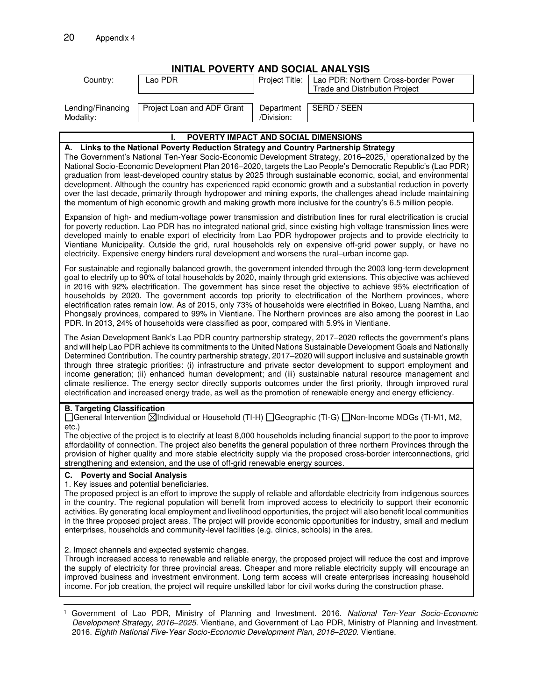| <b>INITIAL POVERTY AND SOCIAL ANALYSIS</b>                                                                                                                                                                                                                                                                                                                                                                                                                                                                                                                                                                                                                                                                                                                                                                                                                                                                                                                                                                                                                                                                                                                                                                                                                                                                                                                                                                                          |                            |                          |                                                                               |  |
|-------------------------------------------------------------------------------------------------------------------------------------------------------------------------------------------------------------------------------------------------------------------------------------------------------------------------------------------------------------------------------------------------------------------------------------------------------------------------------------------------------------------------------------------------------------------------------------------------------------------------------------------------------------------------------------------------------------------------------------------------------------------------------------------------------------------------------------------------------------------------------------------------------------------------------------------------------------------------------------------------------------------------------------------------------------------------------------------------------------------------------------------------------------------------------------------------------------------------------------------------------------------------------------------------------------------------------------------------------------------------------------------------------------------------------------|----------------------------|--------------------------|-------------------------------------------------------------------------------|--|
| Country:                                                                                                                                                                                                                                                                                                                                                                                                                                                                                                                                                                                                                                                                                                                                                                                                                                                                                                                                                                                                                                                                                                                                                                                                                                                                                                                                                                                                                            | Lao PDR                    | Project Title:           | Lao PDR: Northern Cross-border Power<br><b>Trade and Distribution Project</b> |  |
| Lending/Financing<br>Modality:                                                                                                                                                                                                                                                                                                                                                                                                                                                                                                                                                                                                                                                                                                                                                                                                                                                                                                                                                                                                                                                                                                                                                                                                                                                                                                                                                                                                      | Project Loan and ADF Grant | Department<br>/Division: | SERD / SEEN                                                                   |  |
|                                                                                                                                                                                                                                                                                                                                                                                                                                                                                                                                                                                                                                                                                                                                                                                                                                                                                                                                                                                                                                                                                                                                                                                                                                                                                                                                                                                                                                     | ı.                         |                          |                                                                               |  |
| POVERTY IMPACT AND SOCIAL DIMENSIONS<br>A. Links to the National Poverty Reduction Strategy and Country Partnership Strategy<br>The Government's National Ten-Year Socio-Economic Development Strategy, 2016–2025, <sup>1</sup> operationalized by the<br>National Socio-Economic Development Plan 2016-2020, targets the Lao People's Democratic Republic's (Lao PDR)<br>graduation from least-developed country status by 2025 through sustainable economic, social, and environmental<br>development. Although the country has experienced rapid economic growth and a substantial reduction in poverty<br>over the last decade, primarily through hydropower and mining exports, the challenges ahead include maintaining<br>the momentum of high economic growth and making growth more inclusive for the country's 6.5 million people.<br>Expansion of high- and medium-voltage power transmission and distribution lines for rural electrification is crucial<br>for poverty reduction. Lao PDR has no integrated national grid, since existing high voltage transmission lines were<br>developed mainly to enable export of electricity from Lao PDR hydropower projects and to provide electricity to<br>Vientiane Municipality. Outside the grid, rural households rely on expensive off-grid power supply, or have no<br>electricity. Expensive energy hinders rural development and worsens the rural-urban income gap. |                            |                          |                                                                               |  |
| For sustainable and regionally balanced growth, the government intended through the 2003 long-term development<br>goal to electrify up to 90% of total households by 2020, mainly through grid extensions. This objective was achieved<br>in 2016 with 92% electrification. The government has since reset the objective to achieve 95% electrification of<br>households by 2020. The government accords top priority to electrification of the Northern provinces, where<br>electrification rates remain low. As of 2015, only 73% of households were electrified in Bokeo, Luang Namtha, and<br>Phongsaly provinces, compared to 99% in Vientiane. The Northern provinces are also among the poorest in Lao<br>PDR. In 2013, 24% of households were classified as poor, compared with 5.9% in Vientiane.                                                                                                                                                                                                                                                                                                                                                                                                                                                                                                                                                                                                                          |                            |                          |                                                                               |  |
| The Asian Development Bank's Lao PDR country partnership strategy, 2017-2020 reflects the government's plans<br>and will help Lao PDR achieve its commitments to the United Nations Sustainable Development Goals and Nationally<br>Determined Contribution. The country partnership strategy, 2017–2020 will support inclusive and sustainable growth<br>through three strategic priorities: (i) infrastructure and private sector development to support employment and<br>income generation; (ii) enhanced human development; and (iii) sustainable natural resource management and<br>climate resilience. The energy sector directly supports outcomes under the first priority, through improved rural<br>electrification and increased energy trade, as well as the promotion of renewable energy and energy efficiency.                                                                                                                                                                                                                                                                                                                                                                                                                                                                                                                                                                                                      |                            |                          |                                                                               |  |
| <b>B. Targeting Classification</b><br>[General Intervention ⊠Individual or Household (TI-H) [Geographic (TI-G) [Non-Income MDGs (TI-M1, M2,<br>$etc.$ )<br>The objective of the project is to electrify at least 8,000 households including financial support to the poor to improve<br>affordability of connection. The project also benefits the general population of three northern Provinces through the<br>provision of higher quality and more stable electricity supply via the proposed cross-border interconnections, grid<br>strengthening and extension, and the use of off-grid renewable energy sources.                                                                                                                                                                                                                                                                                                                                                                                                                                                                                                                                                                                                                                                                                                                                                                                                              |                            |                          |                                                                               |  |
| C. Poverty and Social Analysis<br>1. Key issues and potential beneficiaries.<br>The proposed project is an effort to improve the supply of reliable and affordable electricity from indigenous sources<br>in the country. The regional population will benefit from improved access to electricity to support their economic<br>activities. By generating local employment and livelihood opportunities, the project will also benefit local communities<br>in the three proposed project areas. The project will provide economic opportunities for industry, small and medium<br>enterprises, households and community-level facilities (e.g. clinics, schools) in the area.                                                                                                                                                                                                                                                                                                                                                                                                                                                                                                                                                                                                                                                                                                                                                      |                            |                          |                                                                               |  |
| 2. Impact channels and expected systemic changes.<br>Through increased access to renewable and reliable energy, the proposed project will reduce the cost and improve<br>the supply of electricity for three provincial areas. Cheaper and more reliable electricity supply will encourage an<br>improved business and investment environment. Long term access will create enterprises increasing household<br>income. For job creation, the project will require unskilled labor for civil works during the construction phase.                                                                                                                                                                                                                                                                                                                                                                                                                                                                                                                                                                                                                                                                                                                                                                                                                                                                                                   |                            |                          |                                                                               |  |
|                                                                                                                                                                                                                                                                                                                                                                                                                                                                                                                                                                                                                                                                                                                                                                                                                                                                                                                                                                                                                                                                                                                                                                                                                                                                                                                                                                                                                                     |                            |                          |                                                                               |  |

<sup>&</sup>lt;sup>1</sup> Government of Lao PDR, Ministry of Planning and Investment. 2016. National Ten-Year Socio-Economic Development Strategy, 2016*–*2025. Vientiane, and Government of Lao PDR, Ministry of Planning and Investment. 2016. Eighth National Five-Year Socio-Economic Development Plan, 2016*–*2020. Vientiane.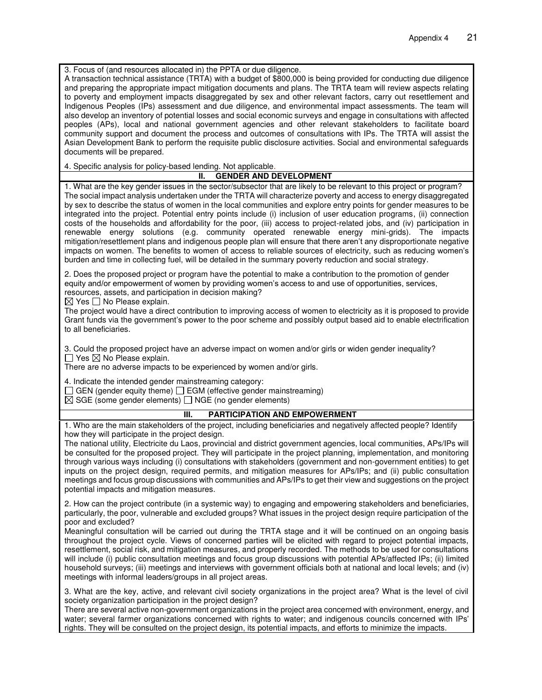3. Focus of (and resources allocated in) the PPTA or due diligence.

A transaction technical assistance (TRTA) with a budget of \$800,000 is being provided for conducting due diligence and preparing the appropriate impact mitigation documents and plans. The TRTA team will review aspects relating to poverty and employment impacts disaggregated by sex and other relevant factors, carry out resettlement and Indigenous Peoples (IPs) assessment and due diligence, and environmental impact assessments. The team will also develop an inventory of potential losses and social economic surveys and engage in consultations with affected peoples (APs), local and national government agencies and other relevant stakeholders to facilitate board community support and document the process and outcomes of consultations with IPs. The TRTA will assist the Asian Development Bank to perform the requisite public disclosure activities. Social and environmental safeguards documents will be prepared.

4. Specific analysis for policy-based lending. Not applicable.

## **II. GENDER AND DEVELOPMENT**

1. What are the key gender issues in the sector/subsector that are likely to be relevant to this project or program? The social impact analysis undertaken under the TRTA will characterize poverty and access to energy disaggregated by sex to describe the status of women in the local communities and explore entry points for gender measures to be integrated into the project. Potential entry points include (i) inclusion of user education programs, (ii) connection costs of the households and affordability for the poor, (iii) access to project-related jobs, and (iv) participation in renewable energy solutions (e.g. community operated renewable energy mini-grids). The impacts mitigation/resettlement plans and indigenous people plan will ensure that there aren't any disproportionate negative impacts on women. The benefits to women of access to reliable sources of electricity, such as reducing women's burden and time in collecting fuel, will be detailed in the summary poverty reduction and social strategy.

2. Does the proposed project or program have the potential to make a contribution to the promotion of gender equity and/or empowerment of women by providing women's access to and use of opportunities, services, resources, assets, and participation in decision making?

 $\boxtimes$  Yes  $\Box$  No Please explain.

The project would have a direct contribution to improving access of women to electricity as it is proposed to provide Grant funds via the government's power to the poor scheme and possibly output based aid to enable electrification to all beneficiaries.

3. Could the proposed project have an adverse impact on women and/or girls or widen gender inequality?  $\Box$  Yes  $\boxtimes$  No Please explain.

There are no adverse impacts to be experienced by women and/or girls.

4. Indicate the intended gender mainstreaming category:

 $\Box$  GEN (gender equity theme)  $\Box$  EGM (effective gender mainstreaming)

 $\boxtimes$  SGE (some gender elements)  $\Box$  NGE (no gender elements)

## **III. PARTICIPATION AND EMPOWERMENT**

1. Who are the main stakeholders of the project, including beneficiaries and negatively affected people? Identify how they will participate in the project design.

The national utility, Electricite du Laos, provincial and district government agencies, local communities, APs/IPs will be consulted for the proposed project. They will participate in the project planning, implementation, and monitoring through various ways including (i) consultations with stakeholders (government and non-government entities) to get inputs on the project design, required permits, and mitigation measures for APs/IPs; and (ii) public consultation meetings and focus group discussions with communities and APs/IPs to get their view and suggestions on the project potential impacts and mitigation measures.

2. How can the project contribute (in a systemic way) to engaging and empowering stakeholders and beneficiaries, particularly, the poor, vulnerable and excluded groups? What issues in the project design require participation of the poor and excluded?

Meaningful consultation will be carried out during the TRTA stage and it will be continued on an ongoing basis throughout the project cycle. Views of concerned parties will be elicited with regard to project potential impacts, resettlement, social risk, and mitigation measures, and properly recorded. The methods to be used for consultations will include (i) public consultation meetings and focus group discussions with potential APs/affected IPs; (ii) limited household surveys; (iii) meetings and interviews with government officials both at national and local levels; and (iv) meetings with informal leaders/groups in all project areas.

3. What are the key, active, and relevant civil society organizations in the project area? What is the level of civil society organization participation in the project design?

There are several active non-government organizations in the project area concerned with environment, energy, and water; several farmer organizations concerned with rights to water; and indigenous councils concerned with IPs' rights. They will be consulted on the project design, its potential impacts, and efforts to minimize the impacts.